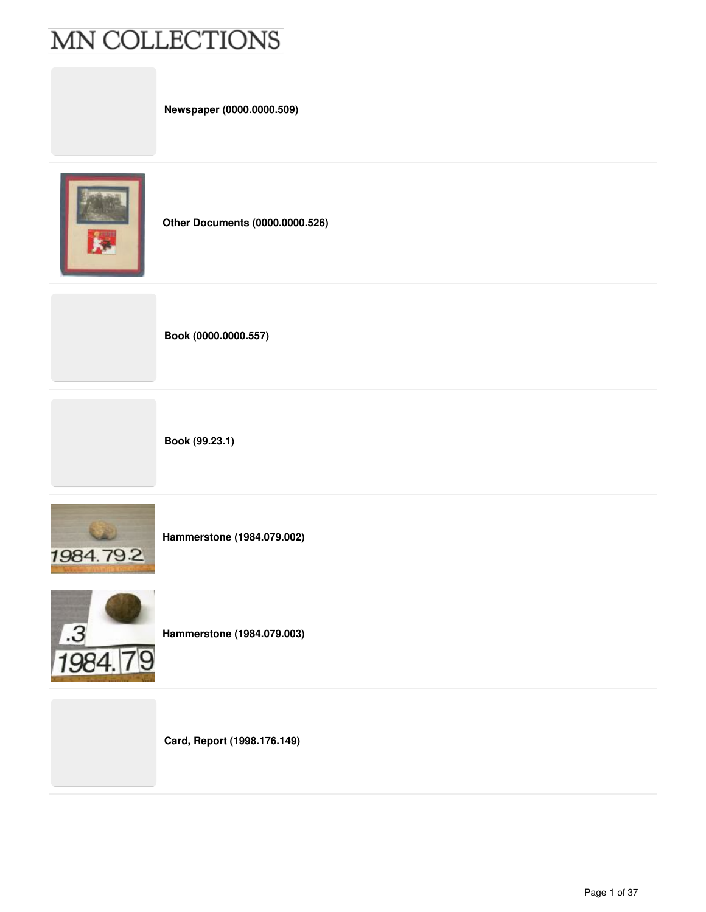**Newspaper (0000.0000.509)**



**Other Documents (0000.0000.526)**

**Book (0000.0000.557)**

**Book (99.23.1)**



**Hammerstone (1984.079.002)**



**Hammerstone (1984.079.003)**

**Card, Report (1998.176.149)**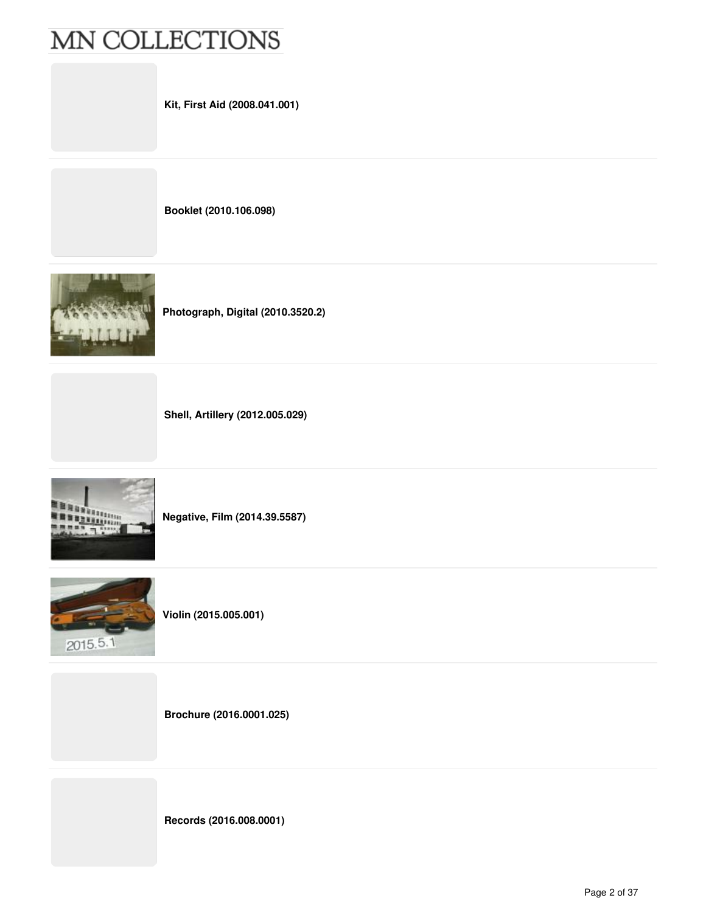**Booklet (2010.106.098)**



**Photograph, Digital (2010.3520.2)**

**Shell, Artillery (2012.005.029)**



**Negative, Film (2014.39.5587)**



**Violin (2015.005.001)**

**Brochure (2016.0001.025)**

**Records (2016.008.0001)**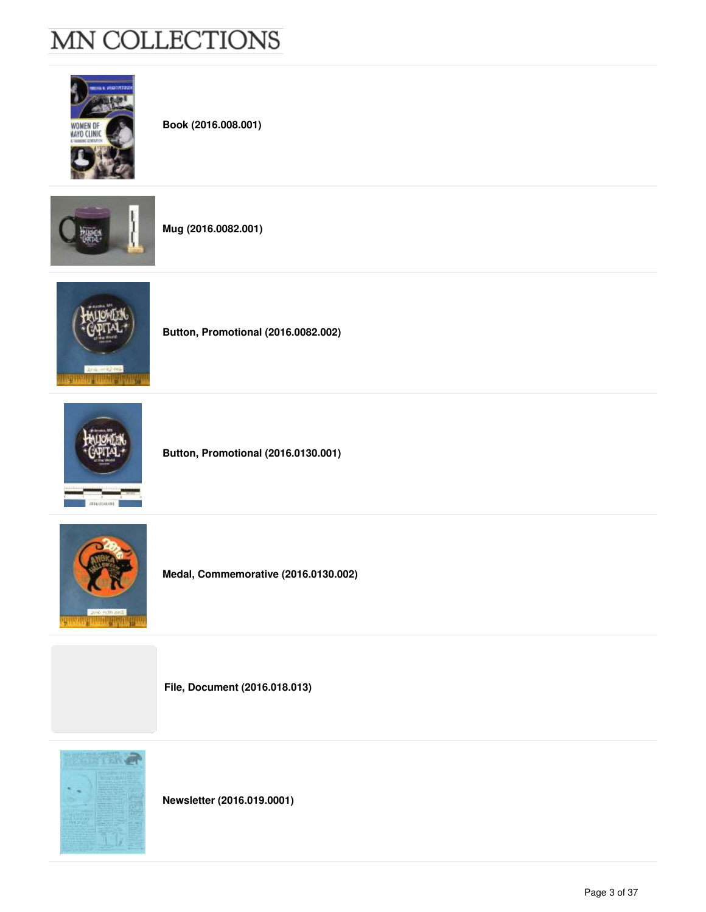



**Newsletter (2016.019.0001)**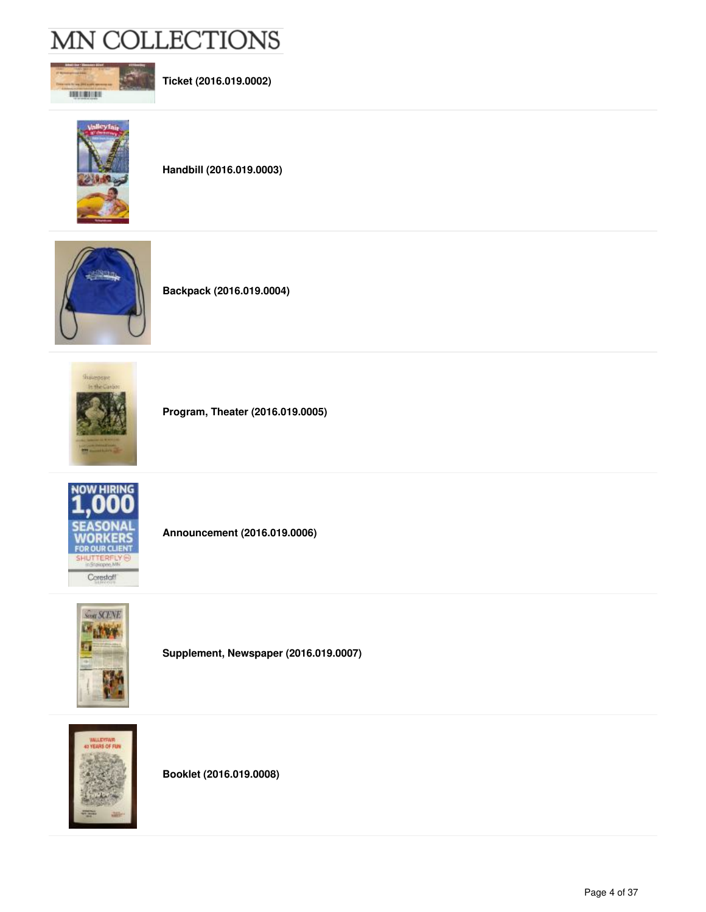

**Ticket (2016.019.0002)**



**Handbill (2016.019.0003)**



**Backpack (2016.019.0004)**



**Program, Theater (2016.019.0005)**



**Announcement (2016.019.0006)**



**Supplement, Newspaper (2016.019.0007)**



**Booklet (2016.019.0008)**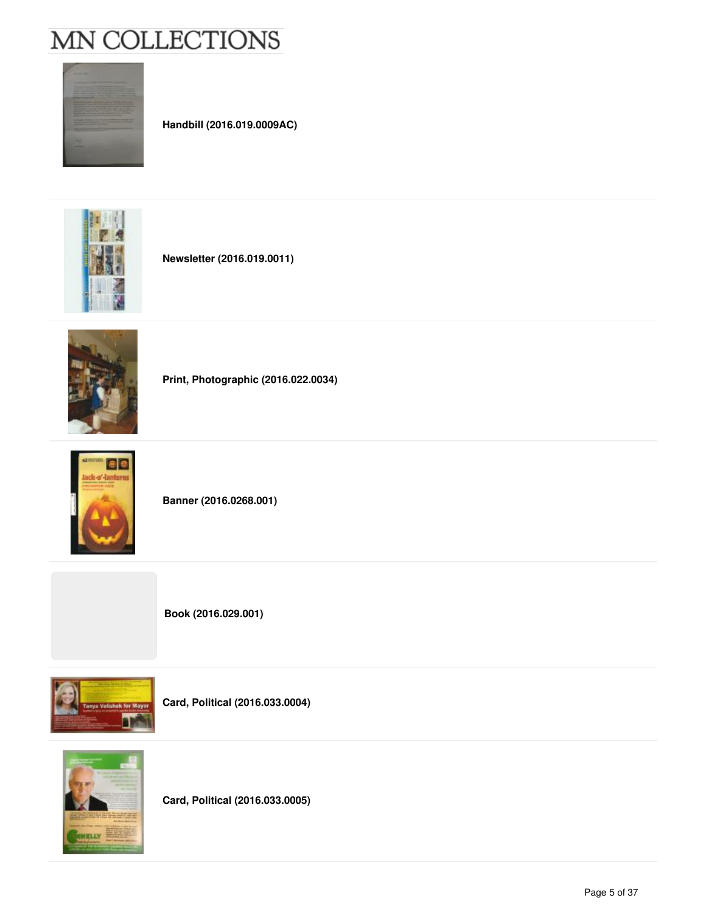

**Handbill (2016.019.0009AC)**



**Newsletter (2016.019.0011)**



**Print, Photographic (2016.022.0034)**



**Banner (2016.0268.001)**





**Card, Political (2016.033.0004)**



**Card, Political (2016.033.0005)**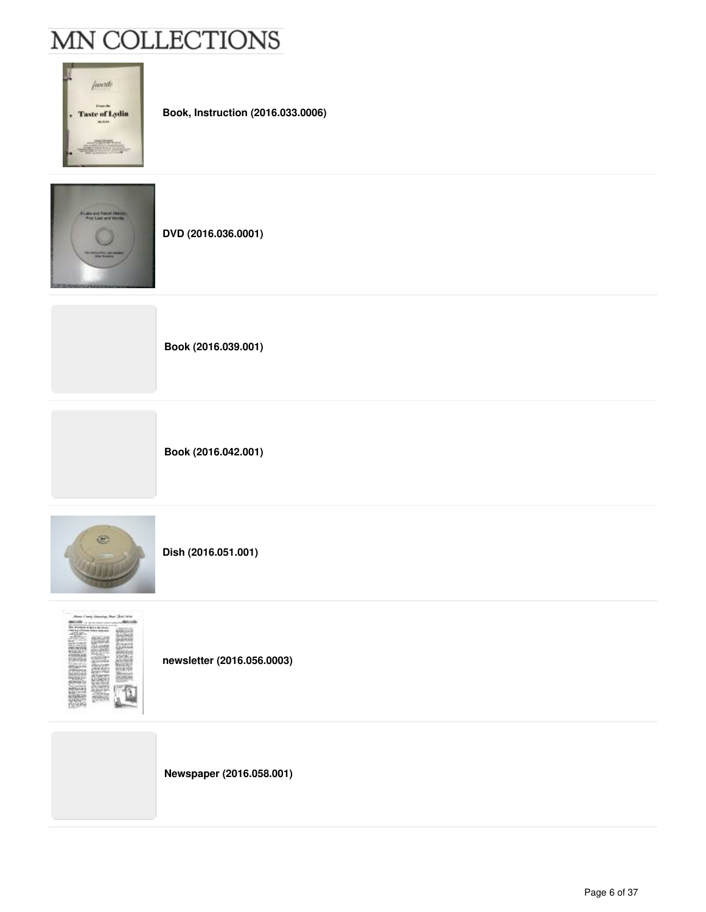| 'avo Me                                                                                                            |
|--------------------------------------------------------------------------------------------------------------------|
| <b>Taste of Lydia</b>                                                                                              |
| <b>All Services</b><br>all company for detailed the<br><b><i>Contact Contact Co.</i></b><br>the admittance and the |

**Book, Instruction (2016.033.0006)**



**DVD (2016.036.0001)**



**Book (2016.042.001)**



**Dish (2016.051.001)**



**newsletter (2016.056.0003)**

**Newspaper (2016.058.001)**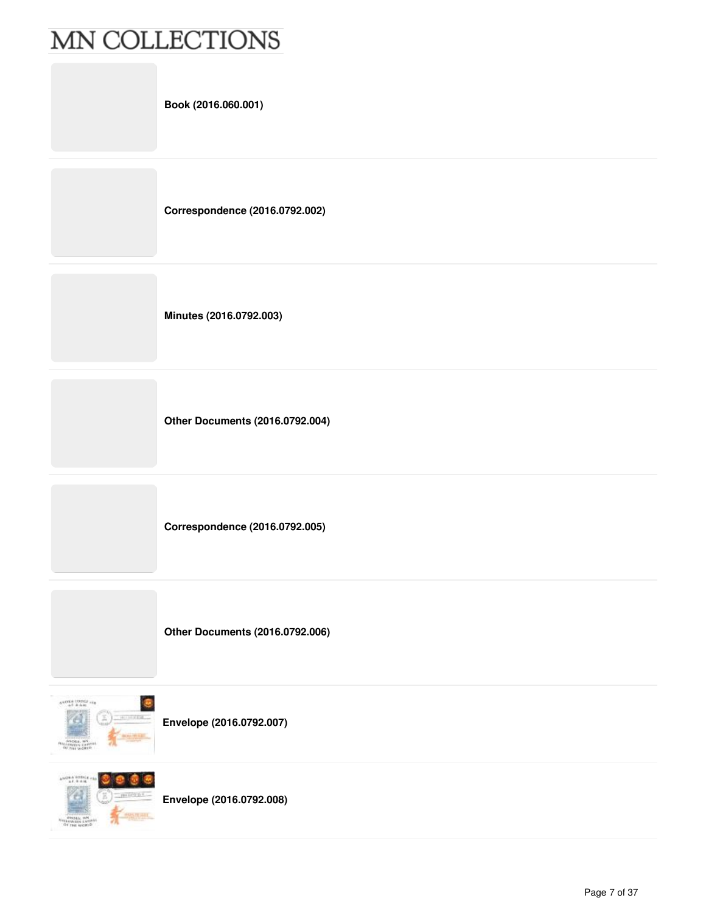|                                                                               | Book (2016.060.001)                    |
|-------------------------------------------------------------------------------|----------------------------------------|
|                                                                               | Correspondence (2016.0792.002)         |
|                                                                               | Minutes (2016.0792.003)                |
|                                                                               | <b>Other Documents (2016.0792.004)</b> |
|                                                                               | Correspondence (2016.0792.005)         |
|                                                                               | <b>Other Documents (2016.0792.006)</b> |
| $\frac{1}{2}$ and $\frac{1}{2}$ and $\frac{1}{2}$ and $\frac{1}{2}$<br>电扫描光电池 | Envelope (2016.0792.007)               |

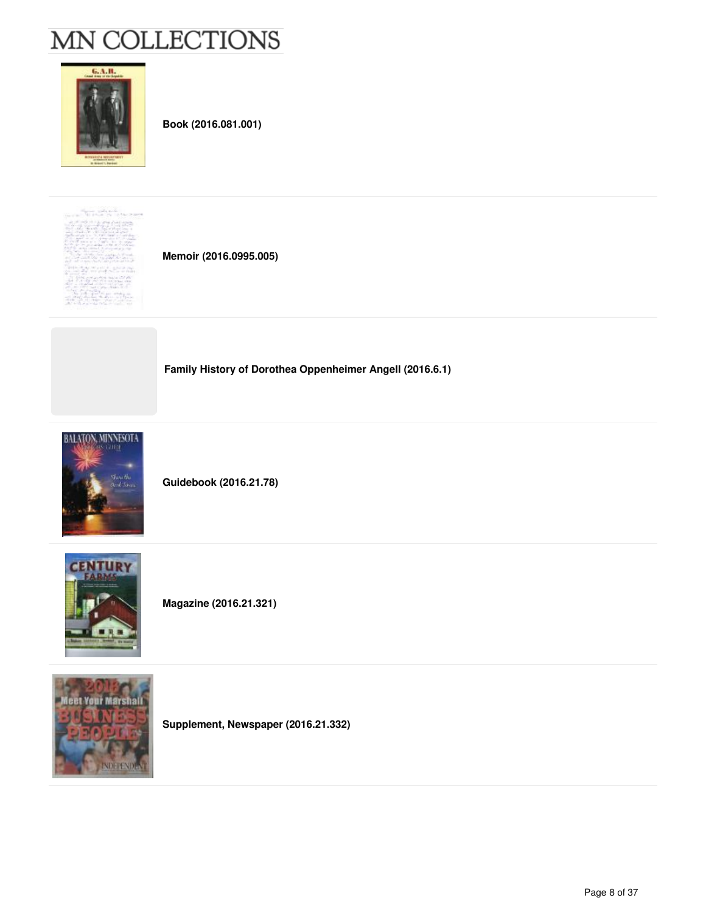

**Book (2016.081.001)**



**Memoir (2016.0995.005)**

**Family History of Dorothea Oppenheimer Angell (2016.6.1)**



**Guidebook (2016.21.78)**



**Magazine (2016.21.321)**



**Supplement, Newspaper (2016.21.332)**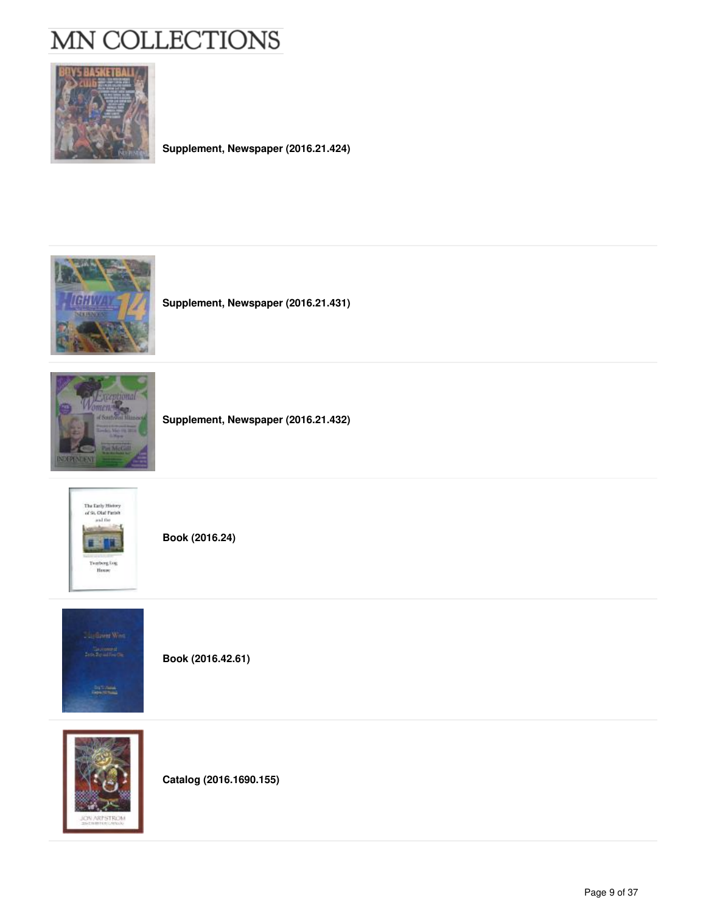

**Supplement, Newspaper (2016.21.424)**



**Supplement, Newspaper (2016.21.431)**



**Supplement, Newspaper (2016.21.432)**



**Book (2016.24)**



**Book (2016.42.61)**



**Catalog (2016.1690.155)**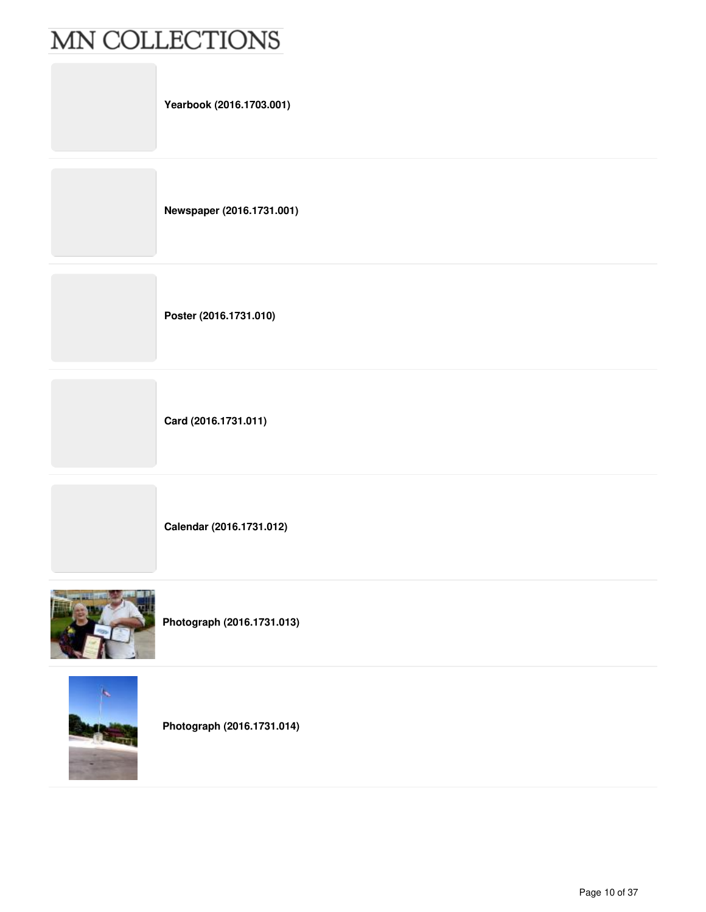| Yearbook (2016.1703.001)  |
|---------------------------|
| Newspaper (2016.1731.001) |
| Poster (2016.1731.010)    |
| Card (2016.1731.011)      |
|                           |

**Calendar (2016.1731.012)**



**Photograph (2016.1731.013)**



**Photograph (2016.1731.014)**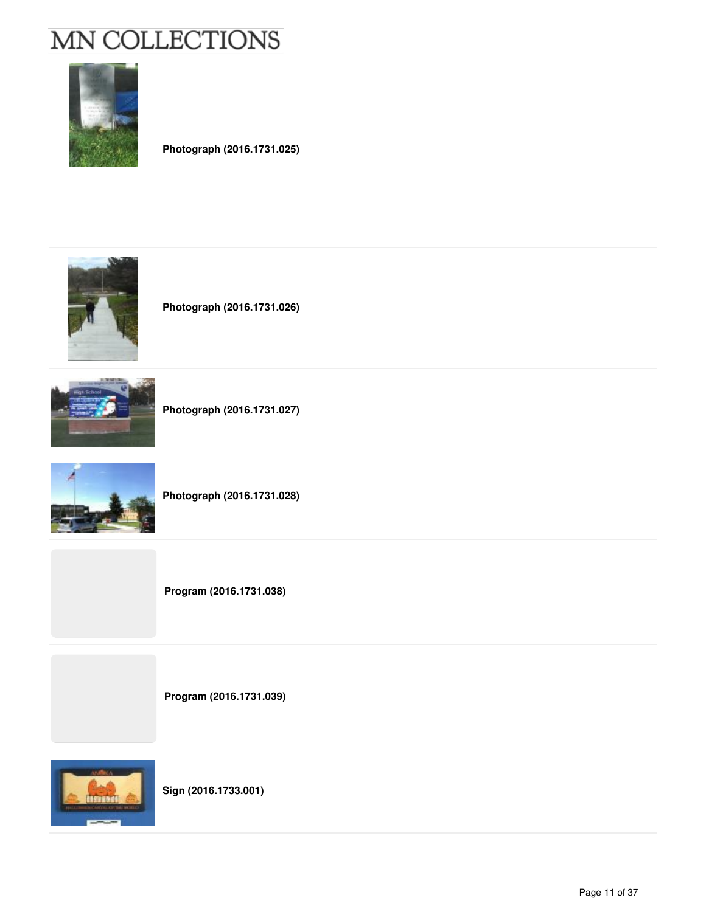

**Photograph (2016.1731.025)**



**Photograph (2016.1731.026)**



**Photograph (2016.1731.027)**



**Photograph (2016.1731.028)**

**Program (2016.1731.038)**

**Program (2016.1731.039)**



**Sign (2016.1733.001)**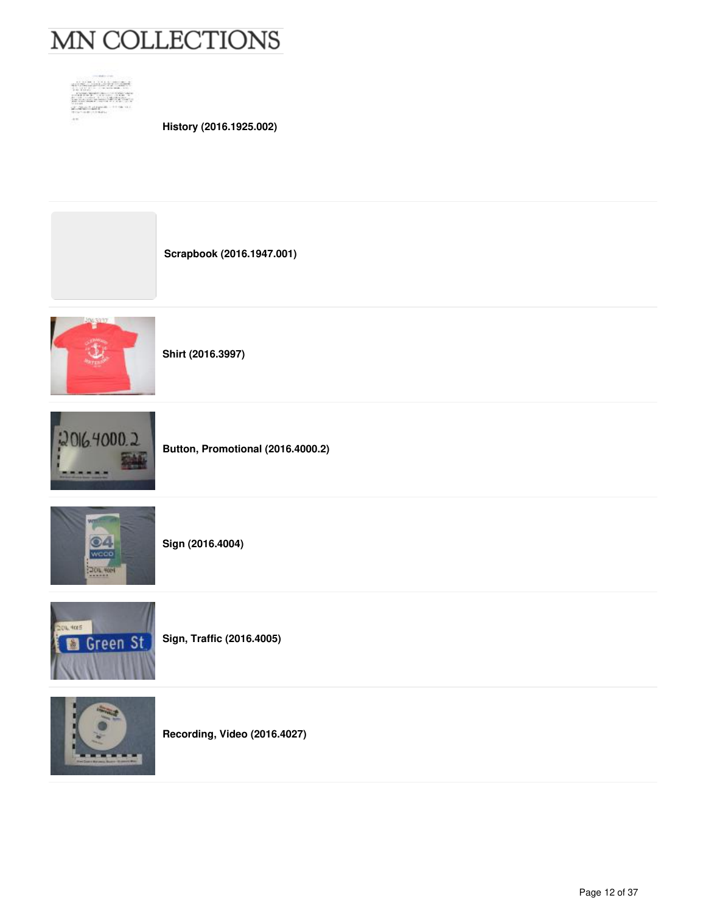



**History (2016.1925.002)**

**Scrapbook (2016.1947.001)**



**Shirt (2016.3997)**



**Button, Promotional (2016.4000.2)**



**Sign (2016.4004)**



**Sign, Traffic (2016.4005)**



**Recording, Video (2016.4027)**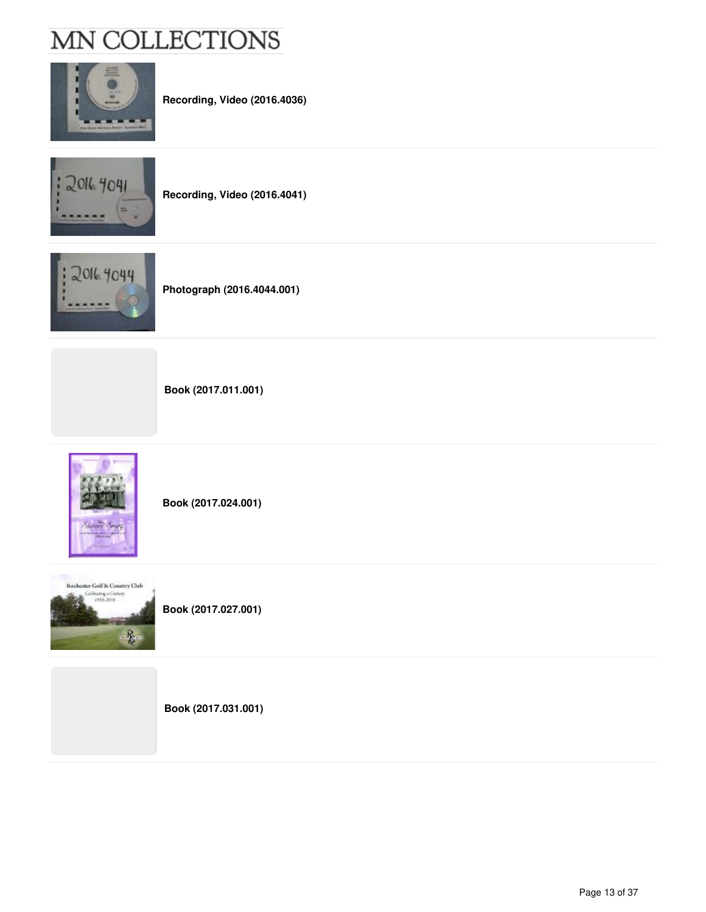

**Recording, Video (2016.4036)**



**Recording, Video (2016.4041)**



**Photograph (2016.4044.001)**

**Book (2017.011.001)**



**Book (2017.024.001)**



**Book (2017.027.001)**

**Book (2017.031.001)**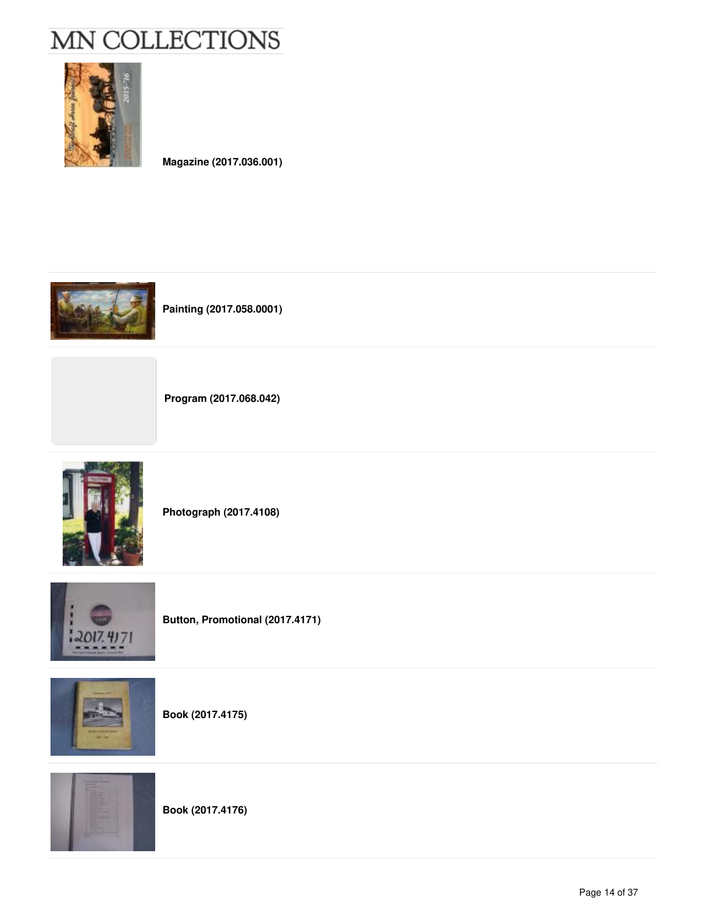

**Magazine (2017.036.001)**



**Painting (2017.058.0001)**



**Program (2017.068.042)**



**Photograph (2017.4108)**



**Button, Promotional (2017.4171)**



**Book (2017.4175)**



**Book (2017.4176)**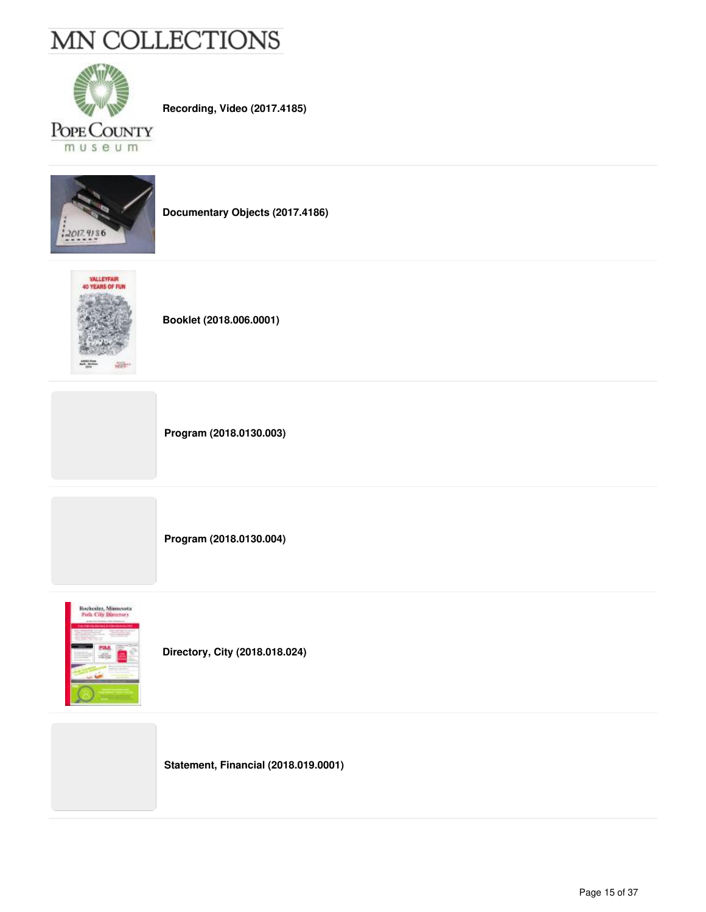

**Recording, Video (2017.4185)**



**Documentary Objects (2017.4186)**



**Booklet (2018.006.0001)**

**Program (2018.0130.003)**

**Program (2018.0130.004)**



**Directory, City (2018.018.024)**

**Statement, Financial (2018.019.0001)**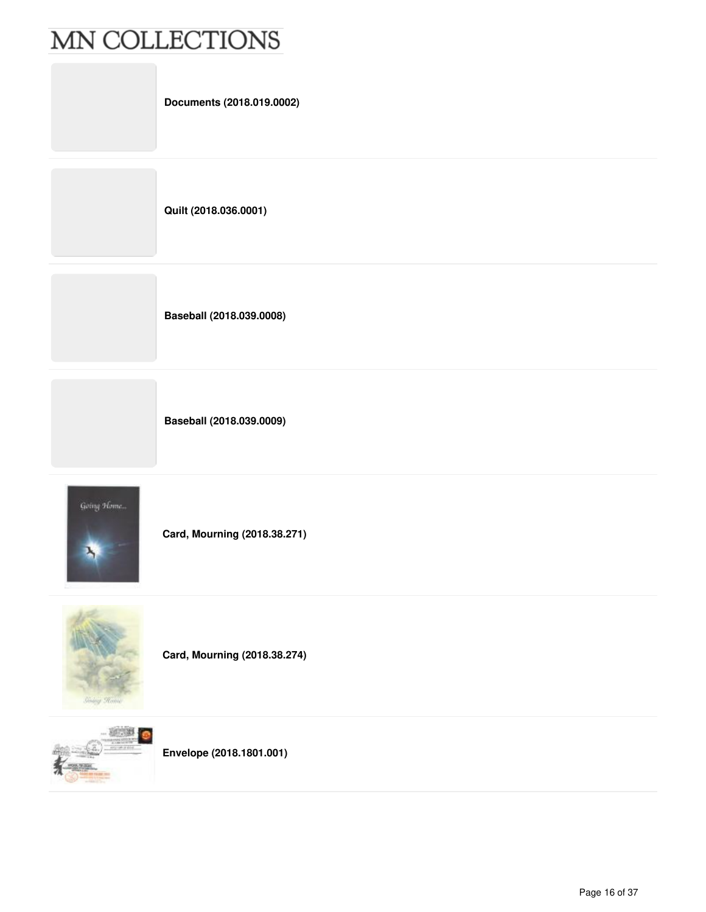| Documents (2018.019.0002) |
|---------------------------|
| Quilt (2018.036.0001)     |
| Baseball (2018.039.0008)  |

**Baseball (2018.039.0009)**



**Card, Mourning (2018.38.271)**



**Card, Mourning (2018.38.274)**



**Envelope (2018.1801.001)**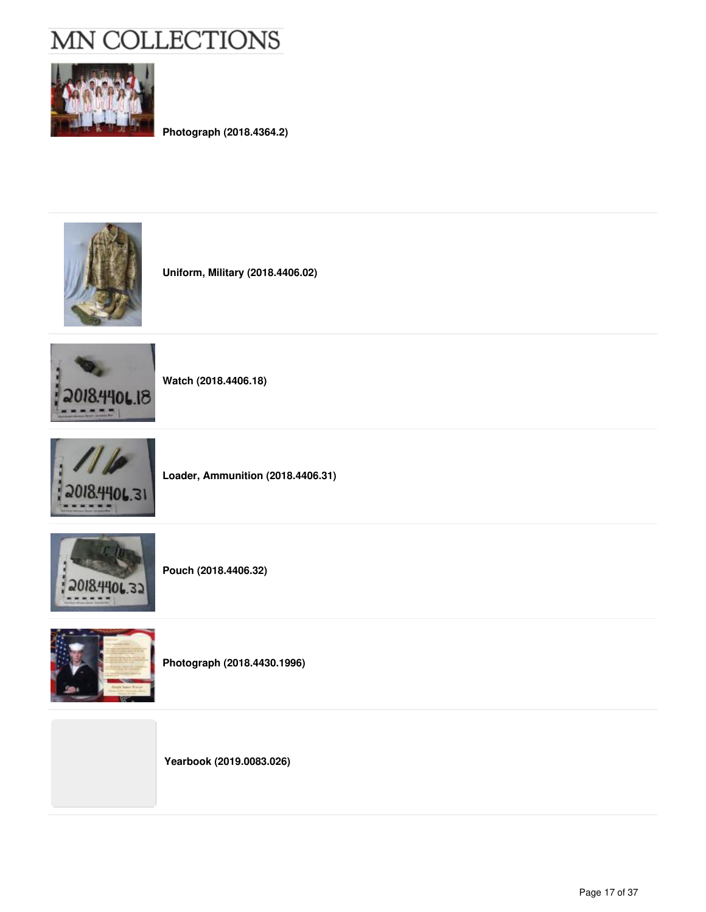

**Photograph (2018.4364.2)**



**Uniform, Military (2018.4406.02)**



**Watch (2018.4406.18)**



**Loader, Ammunition (2018.4406.31)**



**Pouch (2018.4406.32)**



**Photograph (2018.4430.1996)**

**Yearbook (2019.0083.026)**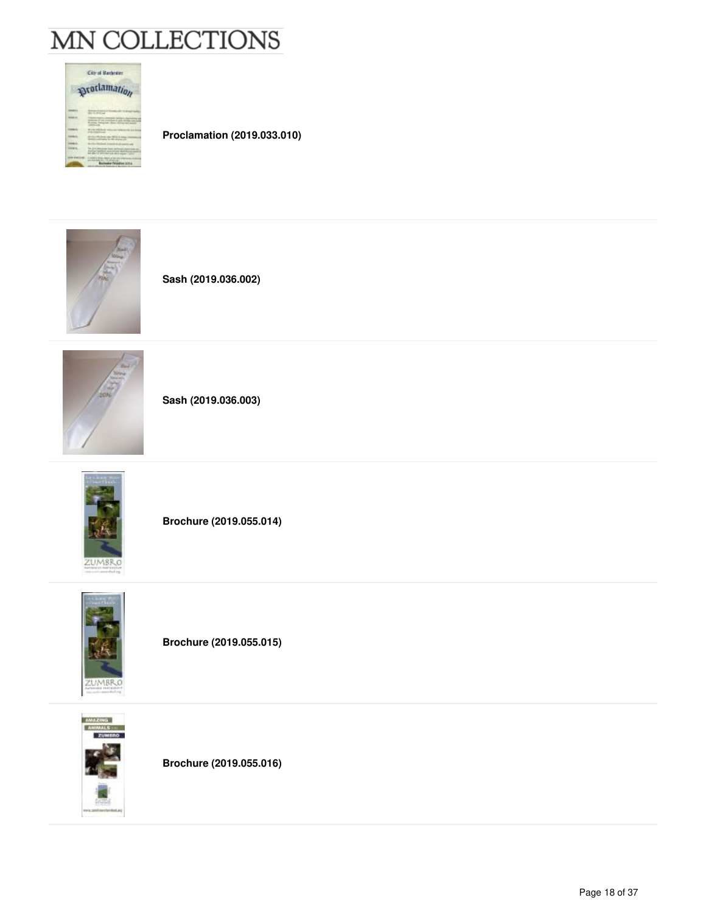

**Proclamation (2019.033.010)**



**Sash (2019.036.002)**



**Sash (2019.036.003)**



**Brochure (2019.055.014)**



**Brochure (2019.055.015)**



**Brochure (2019.055.016)**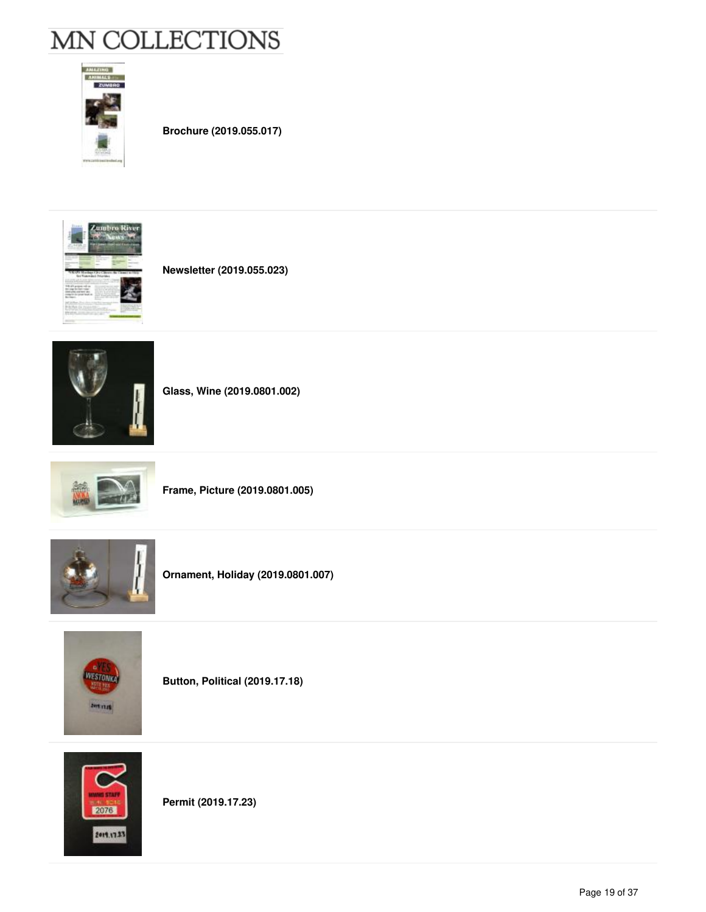

**Brochure (2019.055.017)**



**Newsletter (2019.055.023)**



**Glass, Wine (2019.0801.002)**







**Ornament, Holiday (2019.0801.007)**



**Button, Political (2019.17.18)**



**Permit (2019.17.23)**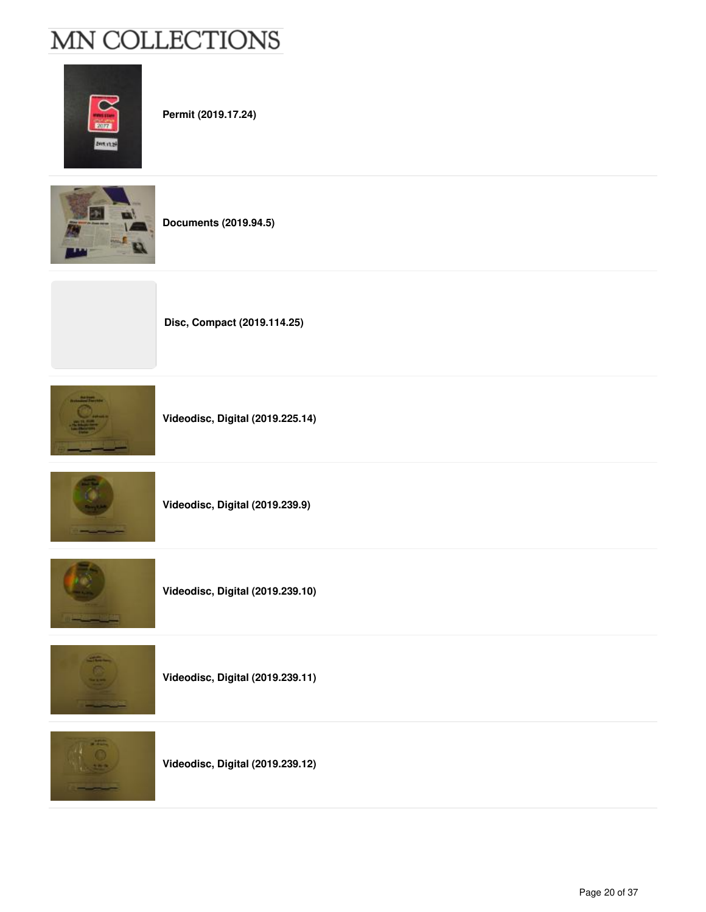

**Permit (2019.17.24)**



**Documents (2019.94.5)**



**Videodisc, Digital (2019.225.14)**

**Disc, Compact (2019.114.25)**



**Videodisc, Digital (2019.239.9)**



**Videodisc, Digital (2019.239.10)**



**Videodisc, Digital (2019.239.11)**



**Videodisc, Digital (2019.239.12)**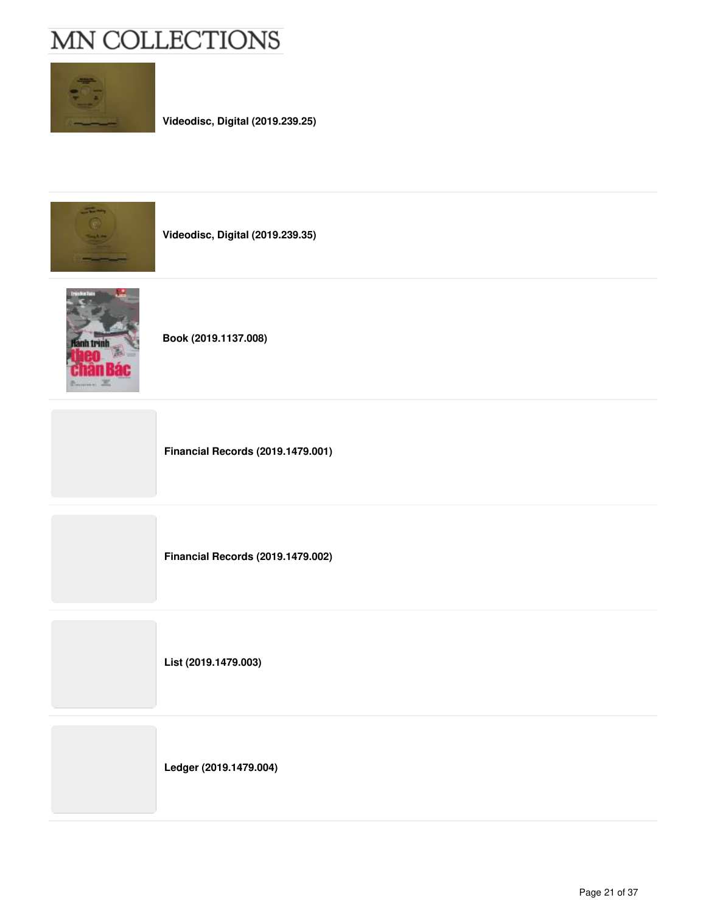

**Videodisc, Digital (2019.239.25)**



**Videodisc, Digital (2019.239.35)**



**Book (2019.1137.008)**

**Financial Records (2019.1479.001)**

**Financial Records (2019.1479.002)**

**List (2019.1479.003)**

**Ledger (2019.1479.004)**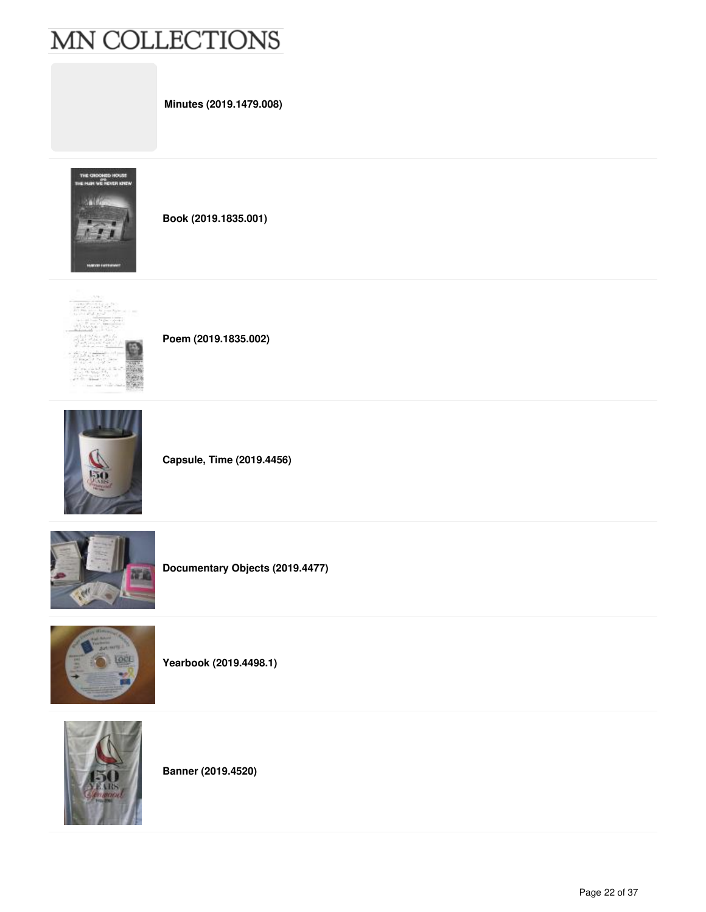**Minutes (2019.1479.008)**



**Book (2019.1835.001)**



**Poem (2019.1835.002)**



**Capsule, Time (2019.4456)**



**Documentary Objects (2019.4477)**



**Yearbook (2019.4498.1)**



**Banner (2019.4520)**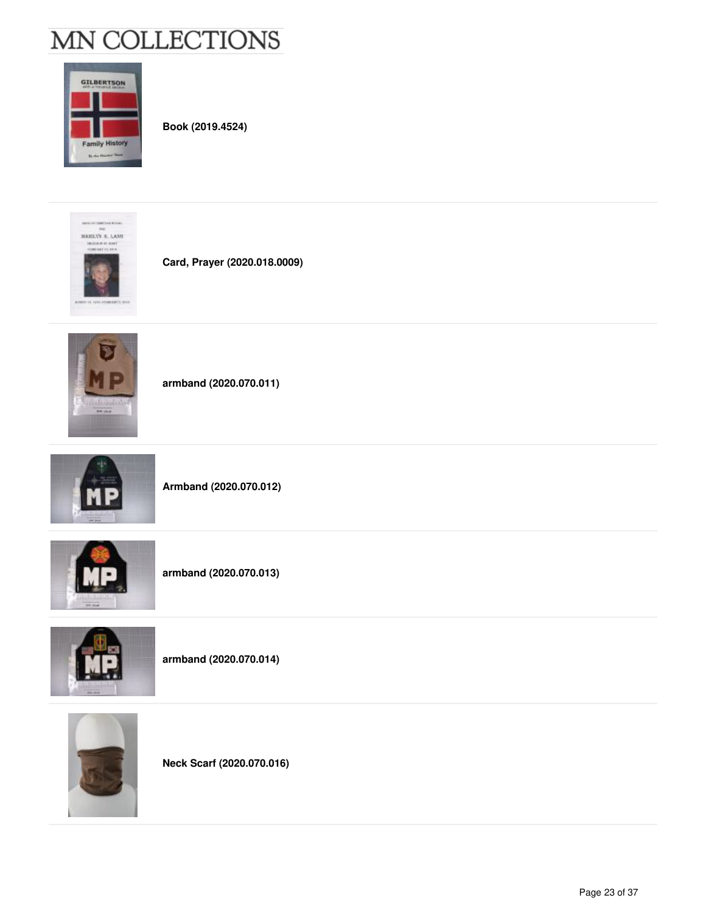

**Book (2019.4524)**



**Card, Prayer (2020.018.0009)**



**armband (2020.070.011)**



**Armband (2020.070.012)**



**armband (2020.070.013)**



**armband (2020.070.014)**



**Neck Scarf (2020.070.016)**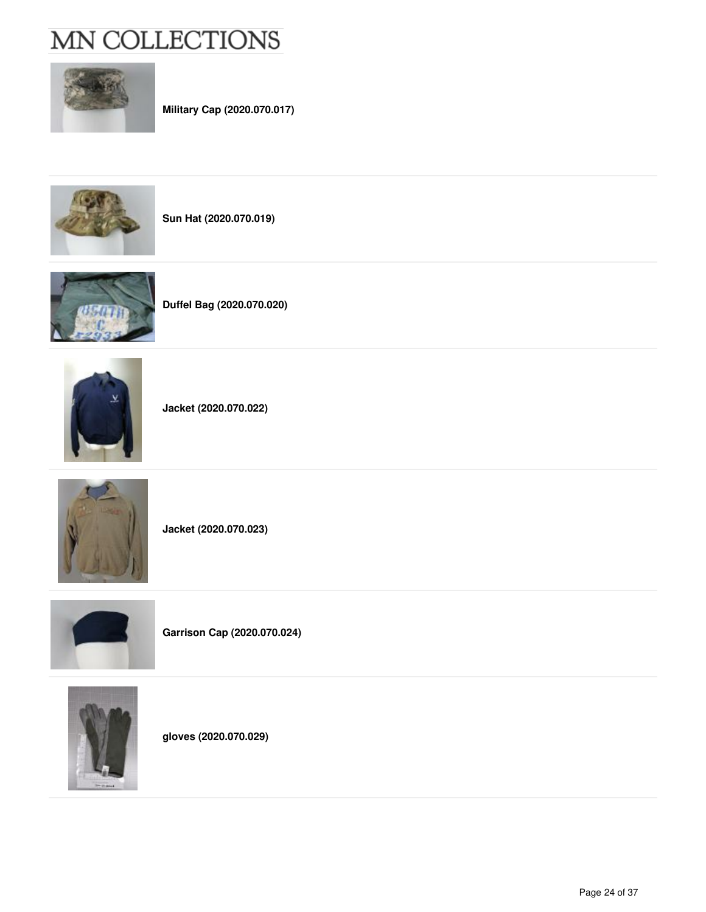

**Military Cap (2020.070.017)**



**Sun Hat (2020.070.019)**



**Duffel Bag (2020.070.020)**



**Jacket (2020.070.022)**



**Jacket (2020.070.023)**



**Garrison Cap (2020.070.024)**



**gloves (2020.070.029)**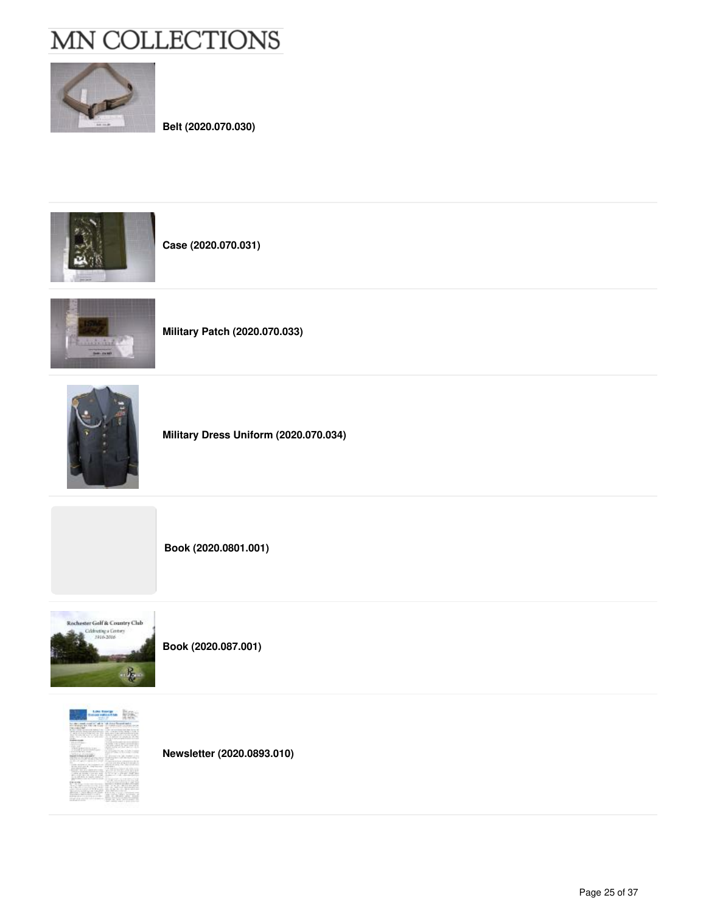

**Belt (2020.070.030)**



**Case (2020.070.031)**



**Military Patch (2020.070.033)**



**Military Dress Uniform (2020.070.034)**

**Book (2020.0801.001)**



**Book (2020.087.001)**



**Newsletter (2020.0893.010)**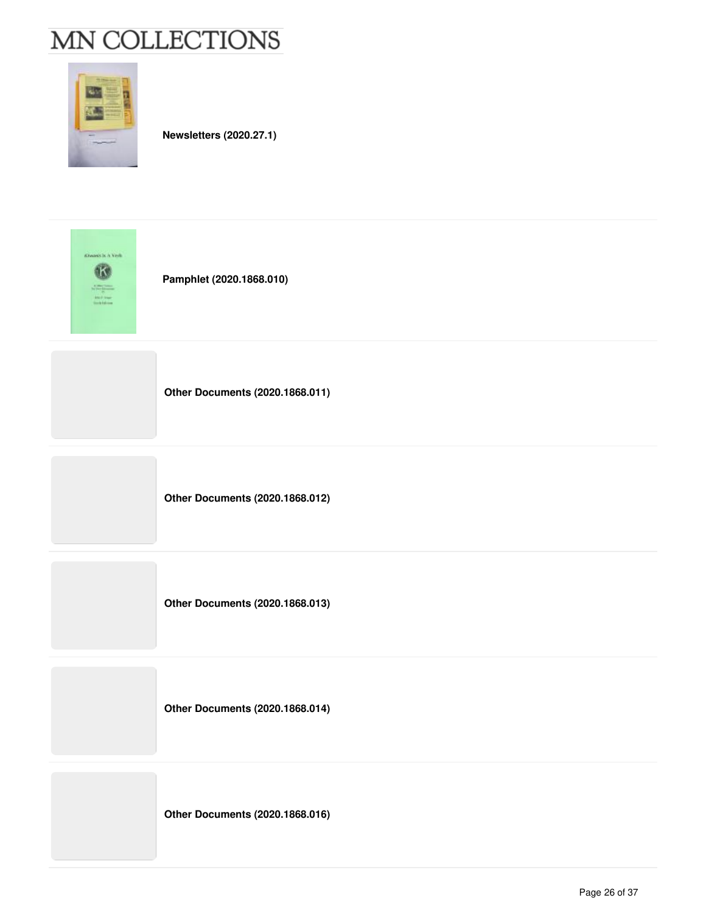

**Newsletters (2020.27.1)**

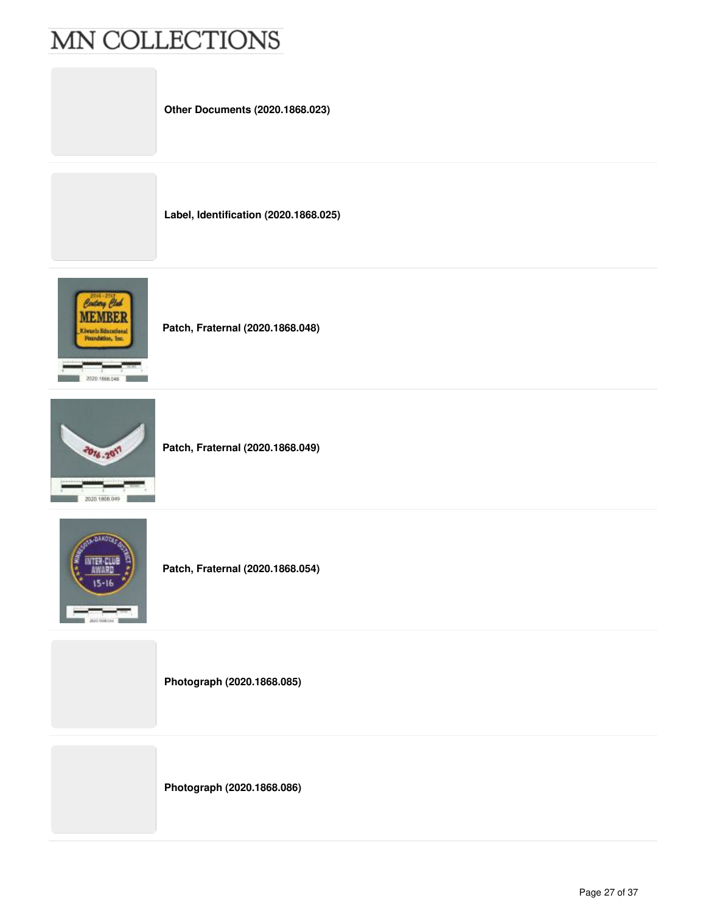**Other Documents (2020.1868.023)**

**Label, Identification (2020.1868.025)**



**Patch, Fraternal (2020.1868.048)**



**Patch, Fraternal (2020.1868.049)**



**Patch, Fraternal (2020.1868.054)**

**Photograph (2020.1868.085)**

**Photograph (2020.1868.086)**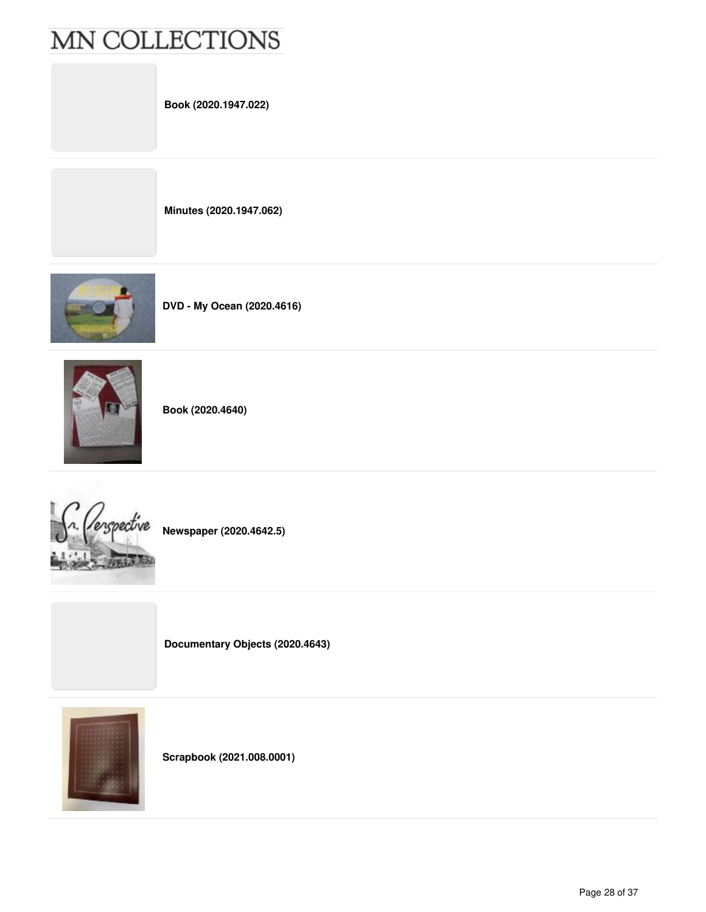**Book (2020.1947.022)**

**Minutes (2020.1947.062)**







**Book (2020.4640)**



**Newspaper (2020.4642.5)**

**Documentary Objects (2020.4643)**



**Scrapbook (2021.008.0001)**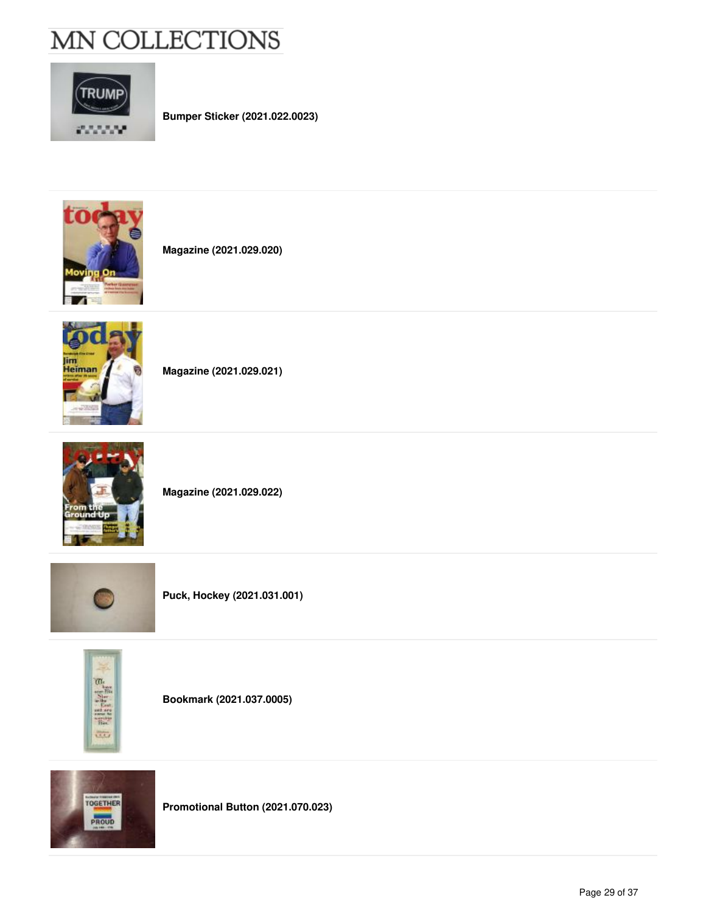

**Bumper Sticker (2021.022.0023)**



**Magazine (2021.029.020)**



**Magazine (2021.029.021)**



**Magazine (2021.029.022)**







**Bookmark (2021.037.0005)**



**Promotional Button (2021.070.023)**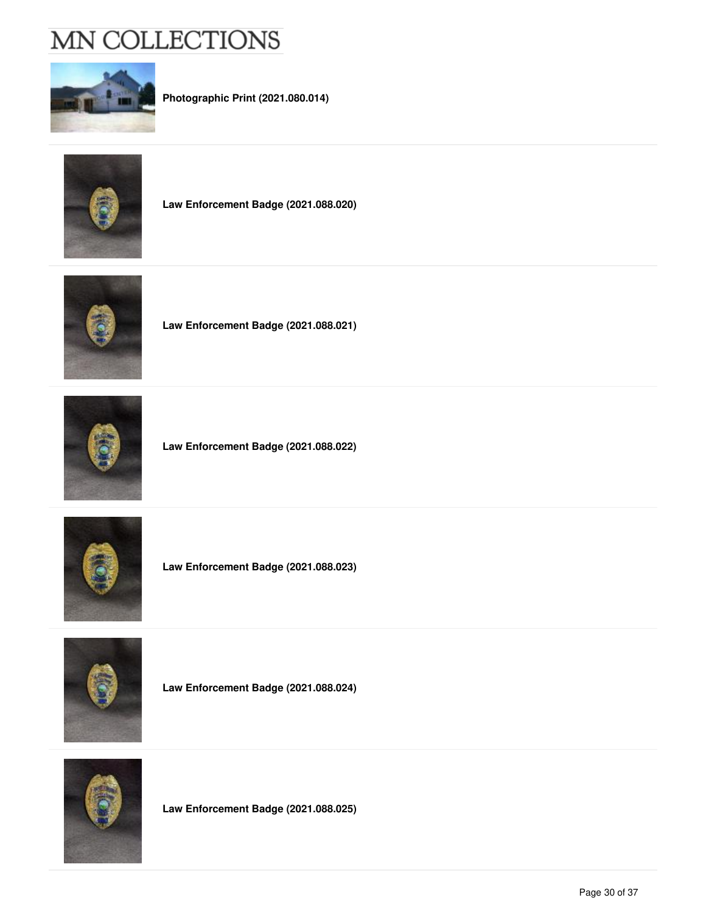

**Photographic Print (2021.080.014)**



**Law Enforcement Badge (2021.088.020)**



**Law Enforcement Badge (2021.088.021)**



**Law Enforcement Badge (2021.088.022)**







**Law Enforcement Badge (2021.088.024)**



**Law Enforcement Badge (2021.088.025)**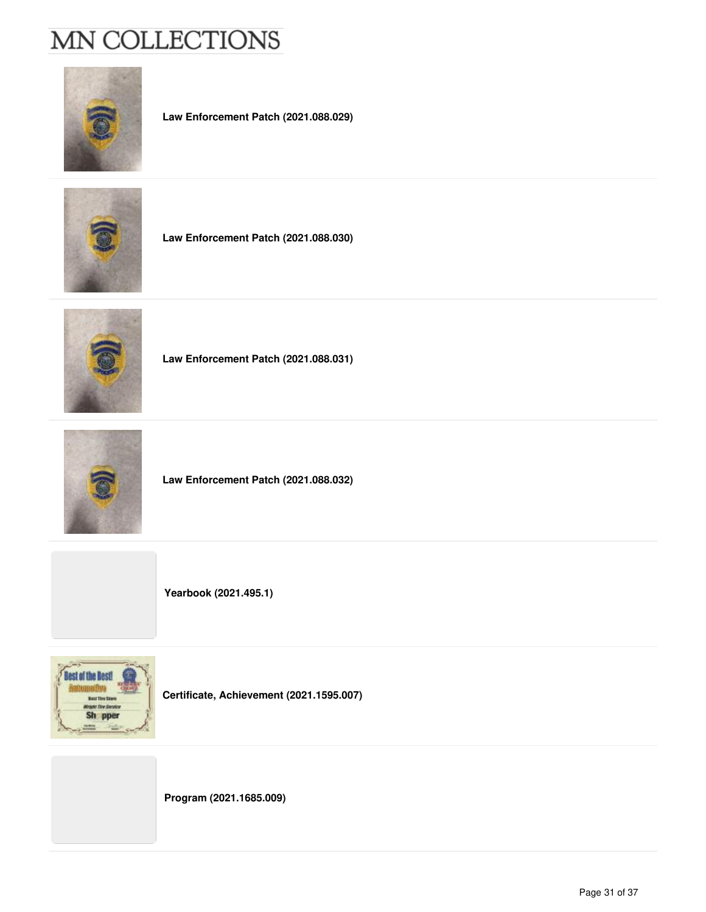

**Law Enforcement Patch (2021.088.029)**



**Law Enforcement Patch (2021.088.030)**



**Law Enforcement Patch (2021.088.031)**



**Law Enforcement Patch (2021.088.032)**



**Certificate, Achievement (2021.1595.007)**

**Program (2021.1685.009)**

**Yearbook (2021.495.1)**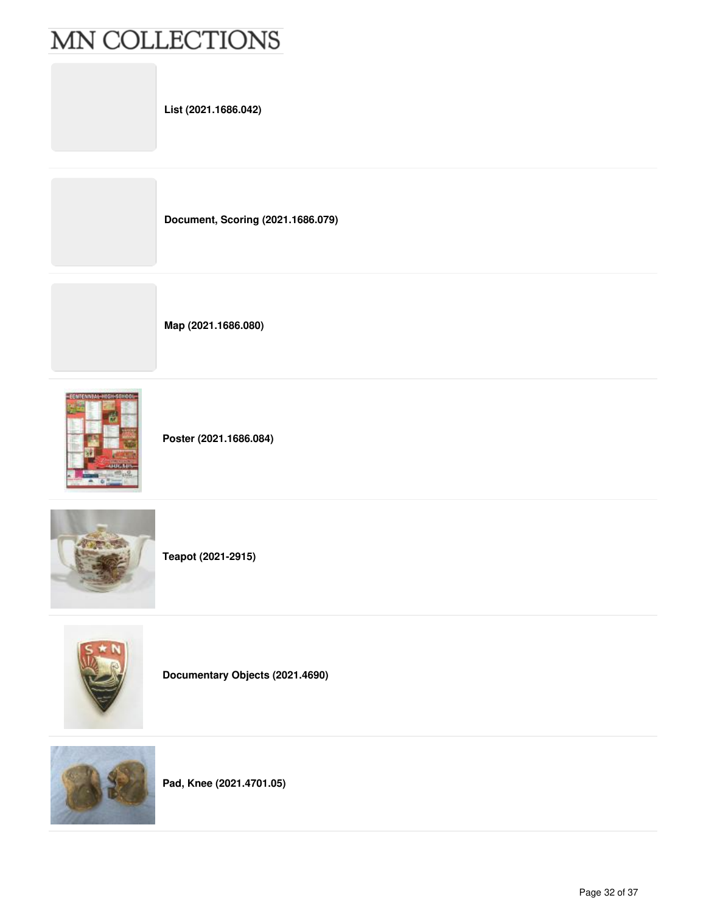**List (2021.1686.042)**

**Document, Scoring (2021.1686.079)**

**Map (2021.1686.080)**



**Poster (2021.1686.084)**



**Teapot (2021-2915)**



**Documentary Objects (2021.4690)**



**Pad, Knee (2021.4701.05)**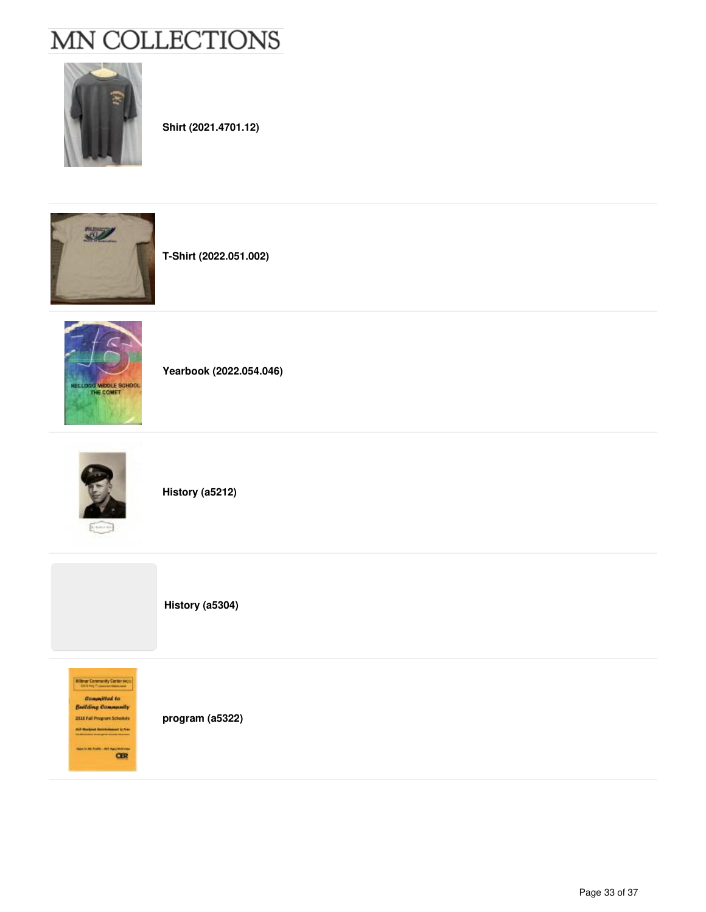

**Shirt (2021.4701.12)**



**T-Shirt (2022.051.002)**



**Yearbook (2022.054.046)**



**History (a5212)**

**History (a5304)**

William Commenty Center pict **Committed** to **Building Commanly** 2016 Fall Program Schedule All Redak Schulaner is for **CER** 

**program (a5322)**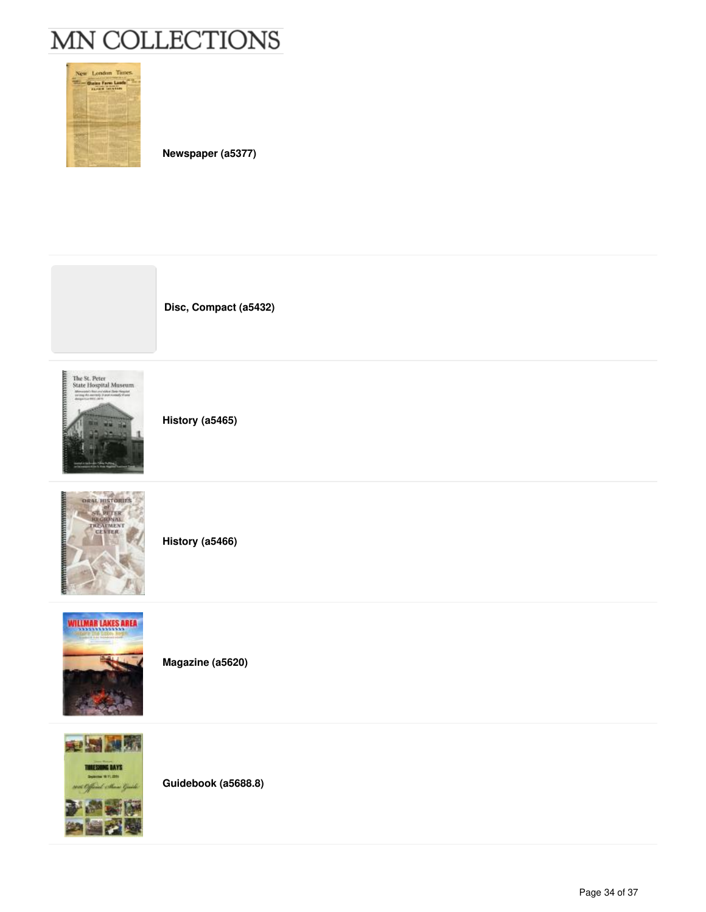

**Newspaper (a5377)**





**History (a5465)**



**History (a5466)**



**Magazine (a5620)**



**Guidebook (a5688.8)**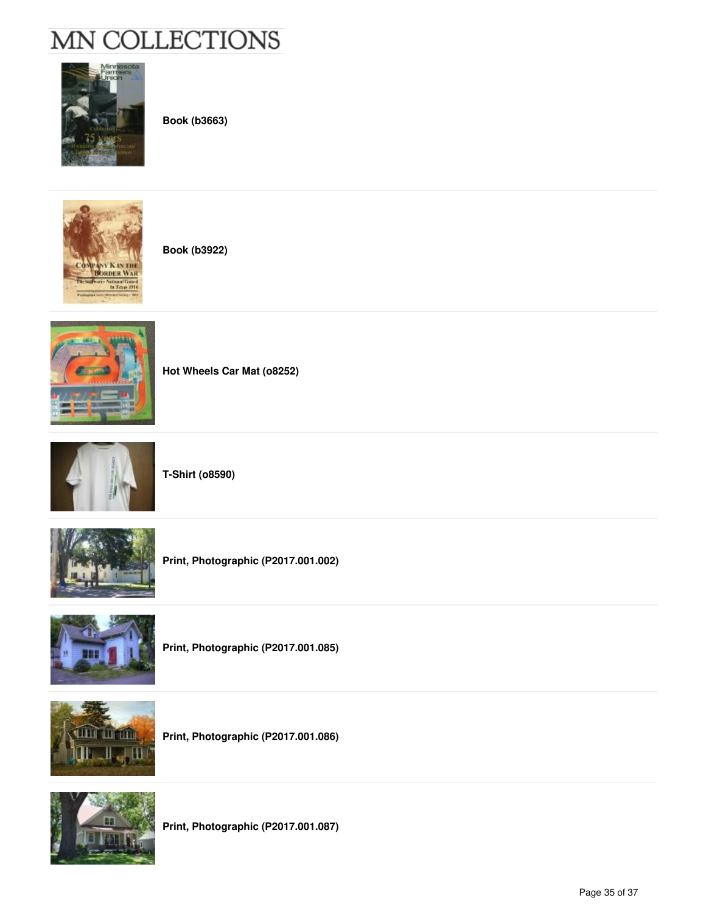

**Book (b3663)**

**Book (b3922)**



**Hot Wheels Car Mat (o8252)**







**Print, Photographic (P2017.001.002)**



**Print, Photographic (P2017.001.085)**



**Print, Photographic (P2017.001.086)**



**Print, Photographic (P2017.001.087)**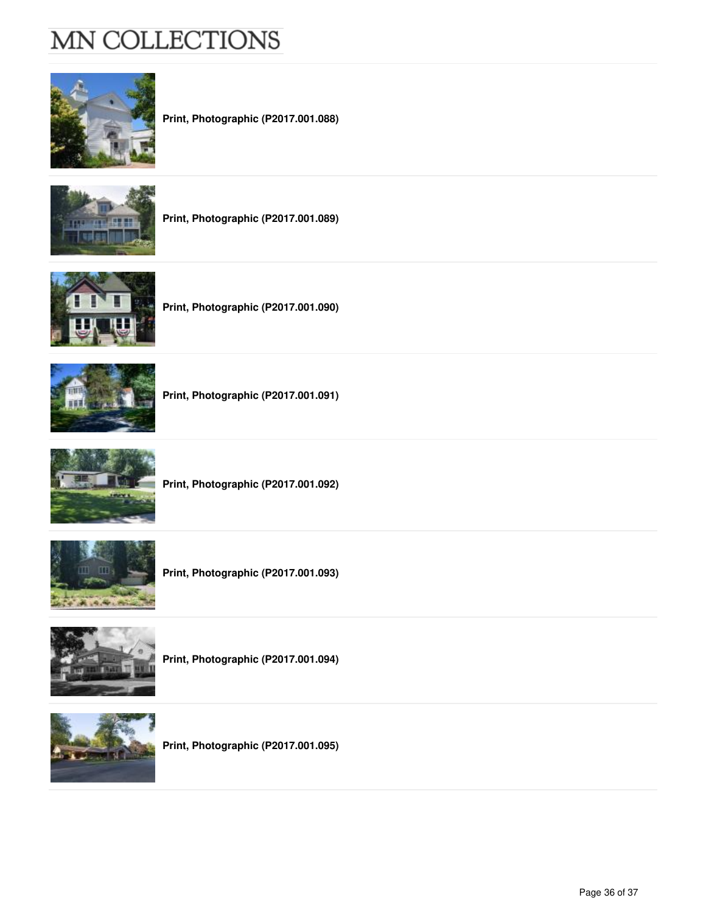

**Print, Photographic (P2017.001.088)**



**Print, Photographic (P2017.001.089)**







**Print, Photographic (P2017.001.091)**



**Print, Photographic (P2017.001.092)**



**Print, Photographic (P2017.001.093)**



**Print, Photographic (P2017.001.094)**



**Print, Photographic (P2017.001.095)**